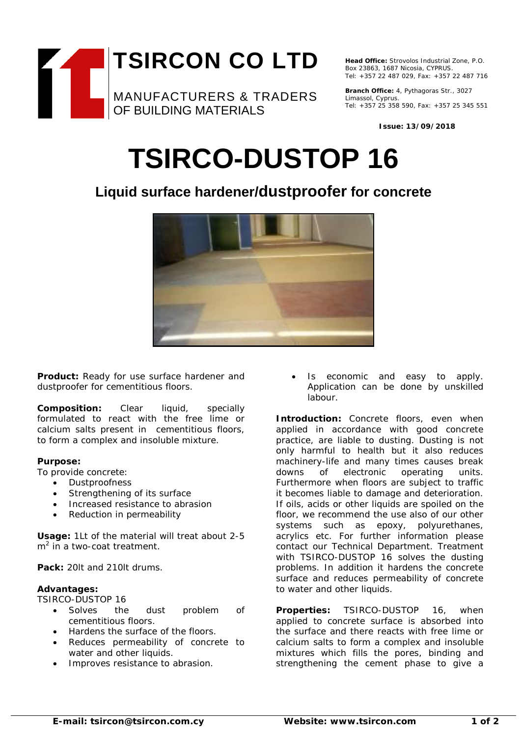

**Head Office:** Strovolos Industrial Zone, P.O. Box 23863, 1687 Nicosia, CYPRUS. Tel: +357 22 487 029, Fax: +357 22 487 716

**Branch Office:** 4, Pythagoras Str., 3027 Limassol, Cyprus. Tel: +357 25 358 590, Fax: +357 25 345 551

**Issue: 13/09/2018**

# **TSIRCO-DUSTOP 16**

## **Liquid surface hardener/dustproofer for concrete**



**Product:** Ready for use surface hardener and dustproofer for cementitious floors.

**Composition:** Clear liquid, specially formulated to react with the free lime or calcium salts present in cementitious floors, to form a complex and insoluble mixture.

### **Purpose:**

To provide concrete:

- Dustproofness
- Strengthening of its surface
- Increased resistance to abrasion
- Reduction in permeability

**Usage:** 1Lt of the material will treat about 2-5  $m<sup>2</sup>$  in a two-coat treatment.

**Pack:** 20lt and 210lt drums.

### **Advantages:**

TSIRCO-DUSTOP 16

- Solves the dust problem of cementitious floors.
- Hardens the surface of the floors.
- Reduces permeability of concrete to water and other liquids.
- Improves resistance to abrasion.

Is economic and easy to apply. Application can be done by unskilled labour.

**Introduction:** Concrete floors, even when applied in accordance with good concrete practice, are liable to dusting. Dusting is not only harmful to health but it also reduces machinery-life and many times causes break downs of electronic operating units. Furthermore when floors are subject to traffic it becomes liable to damage and deterioration. If oils, acids or other liquids are spoiled on the floor, we recommend the use also of our other systems such as epoxy, polyurethanes, acrylics etc. For further information please contact our Technical Department. Treatment with TSIRCO-DUSTOP 16 solves the dusting problems. In addition it hardens the concrete surface and reduces permeability of concrete to water and other liquids.

**Properties:** TSIRCO-DUSTOP 16, when applied to concrete surface is absorbed into the surface and there reacts with free lime or calcium salts to form a complex and insoluble mixtures which fills the pores, binding and strengthening the cement phase to give a